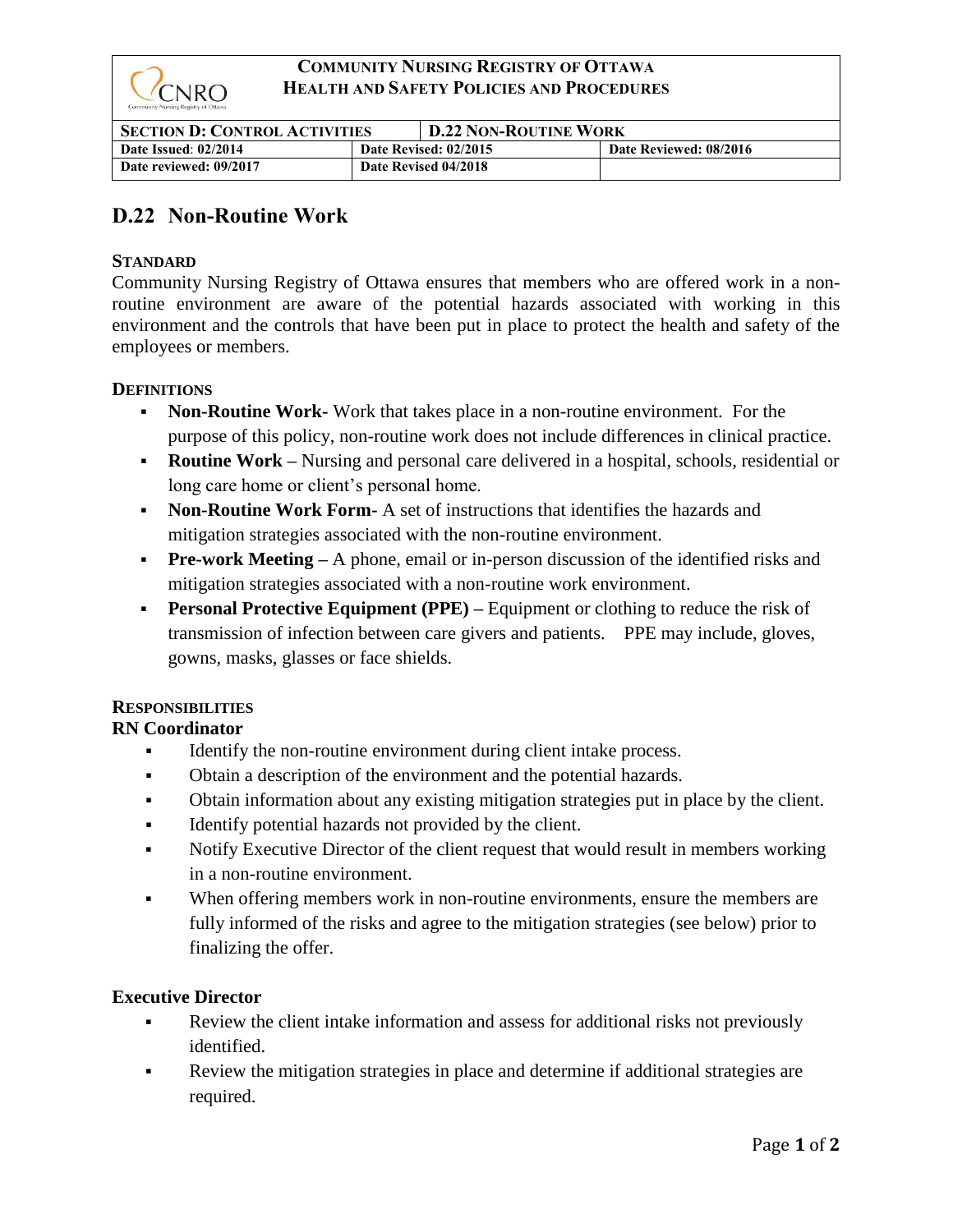

## **COMMUNITY NURSING REGISTRY OF OTTAWA HEALTH AND SAFETY POLICIES AND PROCEDURES**

| <b>SECTION D: CONTROL ACTIVITIES</b> |                       | <b>D.22 NON-ROUTINE WORK</b> |                        |
|--------------------------------------|-----------------------|------------------------------|------------------------|
| Date Issued: 02/2014                 | Date Revised: 02/2015 |                              | Date Reviewed: 08/2016 |
| Date reviewed: 09/2017               | Date Revised 04/2018  |                              |                        |

# **D.22 Non-Routine Work**

## **STANDARD**

Community Nursing Registry of Ottawa ensures that members who are offered work in a nonroutine environment are aware of the potential hazards associated with working in this environment and the controls that have been put in place to protect the health and safety of the employees or members.

#### **DEFINITIONS**

- **Non-Routine Work-** Work that takes place in a non-routine environment. For the purpose of this policy, non-routine work does not include differences in clinical practice.
- **Routine Work** Nursing and personal care delivered in a hospital, schools, residential or long care home or client's personal home.
- **Non-Routine Work Form-** A set of instructions that identifies the hazards and mitigation strategies associated with the non-routine environment.
- **Pre-work Meeting** A phone, email or in-person discussion of the identified risks and mitigation strategies associated with a non-routine work environment.
- **Personal Protective Equipment (PPE)** Equipment or clothing to reduce the risk of transmission of infection between care givers and patients. PPE may include, gloves, gowns, masks, glasses or face shields.

#### **RESPONSIBILITIES**

# **RN Coordinator**

- Identify the non-routine environment during client intake process.
- Obtain a description of the environment and the potential hazards.
- Obtain information about any existing mitigation strategies put in place by the client.
- Identify potential hazards not provided by the client.
- Notify Executive Director of the client request that would result in members working in a non-routine environment.
- When offering members work in non-routine environments, ensure the members are fully informed of the risks and agree to the mitigation strategies (see below) prior to finalizing the offer.

#### **Executive Director**

- Review the client intake information and assess for additional risks not previously identified.
- Review the mitigation strategies in place and determine if additional strategies are required.